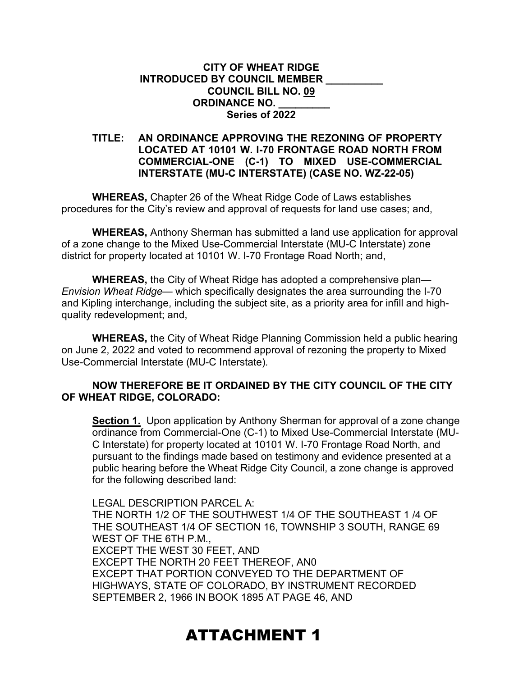## **CITY OF WHEAT RIDGE INTRODUCED BY COUNCIL MEMBER \_\_\_\_\_\_\_\_\_\_ COUNCIL BILL NO. 09 ORDINANCE NO. \_\_\_\_\_\_\_\_\_ Series of 2022**

## **TITLE: AN ORDINANCE APPROVING THE REZONING OF PROPERTY LOCATED AT 10101 W. I-70 FRONTAGE ROAD NORTH FROM COMMERCIAL-ONE (C-1) TO MIXED USE-COMMERCIAL INTERSTATE (MU-C INTERSTATE) (CASE NO. WZ-22-05)**

**WHEREAS,** Chapter 26 of the Wheat Ridge Code of Laws establishes procedures for the City's review and approval of requests for land use cases; and,

**WHEREAS,** Anthony Sherman has submitted a land use application for approval of a zone change to the Mixed Use-Commercial Interstate (MU-C Interstate) zone district for property located at 10101 W. I-70 Frontage Road North; and,

**WHEREAS,** the City of Wheat Ridge has adopted a comprehensive plan— *Envision Wheat Ridge—* which specifically designates the area surrounding the I-70 and Kipling interchange, including the subject site, as a priority area for infill and highquality redevelopment; and,

**WHEREAS,** the City of Wheat Ridge Planning Commission held a public hearing on June 2, 2022 and voted to recommend approval of rezoning the property to Mixed Use-Commercial Interstate (MU-C Interstate)*.*

## **NOW THEREFORE BE IT ORDAINED BY THE CITY COUNCIL OF THE CITY OF WHEAT RIDGE, COLORADO:**

**Section 1.** Upon application by Anthony Sherman for approval of a zone change ordinance from Commercial-One (C-1) to Mixed Use-Commercial Interstate (MU-C Interstate) for property located at 10101 W. I-70 Frontage Road North, and pursuant to the findings made based on testimony and evidence presented at a public hearing before the Wheat Ridge City Council, a zone change is approved for the following described land:

LEGAL DESCRIPTION PARCEL A: THE NORTH 1/2 OF THE SOUTHWEST 1/4 OF THE SOUTHEAST 1 /4 OF THE SOUTHEAST 1/4 OF SECTION 16, TOWNSHIP 3 SOUTH, RANGE 69 WEST OF THE 6TH P.M., EXCEPT THE WEST 30 FEET, AND EXCEPT THE NORTH 20 FEET THEREOF, AN0 EXCEPT THAT PORTION CONVEYED TO THE DEPARTMENT OF HIGHWAYS, STATE OF COLORADO, BY INSTRUMENT RECORDED SEPTEMBER 2, 1966 IN BOOK 1895 AT PAGE 46, AND

## ATTACHMENT 1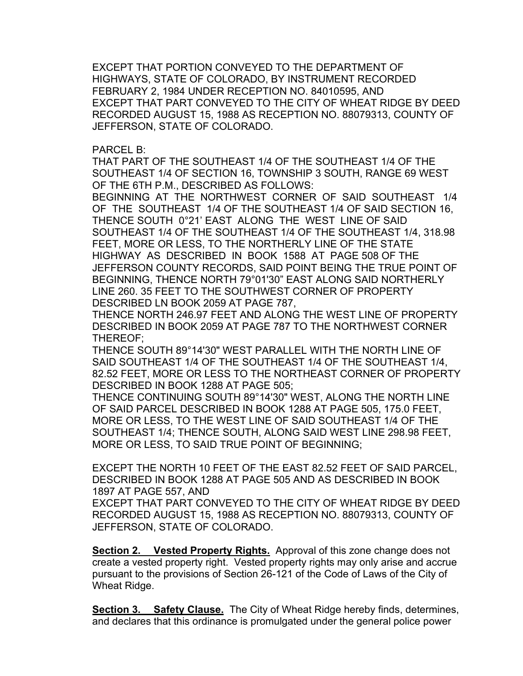EXCEPT THAT PORTION CONVEYED TO THE DEPARTMENT OF HIGHWAYS, STATE OF COLORADO, BY INSTRUMENT RECORDED FEBRUARY 2, 1984 UNDER RECEPTION NO. 84010595, AND EXCEPT THAT PART CONVEYED TO THE CITY OF WHEAT RIDGE BY DEED RECORDED AUGUST 15, 1988 AS RECEPTION NO. 88079313, COUNTY OF JEFFERSON, STATE OF COLORADO.

PARCEL B:

THAT PART OF THE SOUTHEAST 1/4 OF THE SOUTHEAST 1/4 OF THE SOUTHEAST 1/4 OF SECTION 16, TOWNSHIP 3 SOUTH, RANGE 69 WEST OF THE 6TH P.M., DESCRIBED AS FOLLOWS:

BEGINNING AT THE NORTHWEST CORNER OF SAID SOUTHEAST 1/4 OF THE SOUTHEAST 1/4 OF THE SOUTHEAST 1/4 OF SAID SECTION 16, THENCE SOUTH 0°21' EAST ALONG THE WEST LINE OF SAID SOUTHEAST 1/4 OF THE SOUTHEAST 1/4 OF THE SOUTHEAST 1/4, 318.98 FEET, MORE OR LESS, TO THE NORTHERLY LINE OF THE STATE HIGHWAY AS DESCRIBED IN BOOK 1588 AT PAGE 508 OF THE JEFFERSON COUNTY RECORDS, SAID POINT BEING THE TRUE POINT OF BEGINNING, THENCE NORTH 79°01'30" EAST ALONG SAID NORTHERLY LINE 260. 35 FEET TO THE SOUTHWEST CORNER OF PROPERTY DESCRIBED LN BOOK 2059 AT PAGE 787,

THENCE NORTH 246.97 FEET AND ALONG THE WEST LINE OF PROPERTY DESCRIBED IN BOOK 2059 AT PAGE 787 TO THE NORTHWEST CORNER THEREOF;

THENCE SOUTH 89°14'30" WEST PARALLEL WITH THE NORTH LINE OF SAID SOUTHEAST 1/4 OF THE SOUTHEAST 1/4 OF THE SOUTHEAST 1/4, 82.52 FEET, MORE OR LESS TO THE NORTHEAST CORNER OF PROPERTY DESCRIBED IN BOOK 1288 AT PAGE 505;

THENCE CONTINUING SOUTH 89°14'30" WEST, ALONG THE NORTH LINE OF SAID PARCEL DESCRIBED IN BOOK 1288 AT PAGE 505, 175.0 FEET, MORE OR LESS, TO THE WEST LINE OF SAID SOUTHEAST 1/4 OF THE SOUTHEAST 1/4; THENCE SOUTH, ALONG SAID WEST LINE 298.98 FEET, MORE OR LESS, TO SAID TRUE POINT OF BEGINNING;

EXCEPT THE NORTH 10 FEET OF THE EAST 82.52 FEET OF SAID PARCEL, DESCRIBED IN BOOK 1288 AT PAGE 505 AND AS DESCRIBED IN BOOK 1897 AT PAGE 557, AND

EXCEPT THAT PART CONVEYED TO THE CITY OF WHEAT RIDGE BY DEED RECORDED AUGUST 15, 1988 AS RECEPTION NO. 88079313, COUNTY OF JEFFERSON, STATE OF COLORADO.

**Section 2. Vested Property Rights.** Approval of this zone change does not create a vested property right. Vested property rights may only arise and accrue pursuant to the provisions of Section 26-121 of the Code of Laws of the City of Wheat Ridge.

**Section 3. Safety Clause.** The City of Wheat Ridge hereby finds, determines, and declares that this ordinance is promulgated under the general police power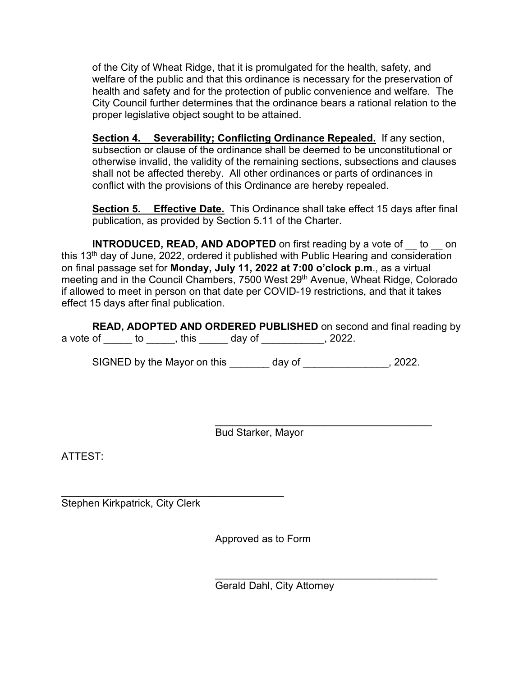of the City of Wheat Ridge, that it is promulgated for the health, safety, and welfare of the public and that this ordinance is necessary for the preservation of health and safety and for the protection of public convenience and welfare. The City Council further determines that the ordinance bears a rational relation to the proper legislative object sought to be attained.

**Section 4. Severability; Conflicting Ordinance Repealed.** If any section, subsection or clause of the ordinance shall be deemed to be unconstitutional or otherwise invalid, the validity of the remaining sections, subsections and clauses shall not be affected thereby. All other ordinances or parts of ordinances in conflict with the provisions of this Ordinance are hereby repealed.

**Section 5. Effective Date.** This Ordinance shall take effect 15 days after final publication, as provided by Section 5.11 of the Charter.

**INTRODUCED, READ, AND ADOPTED** on first reading by a vote of to on this 13<sup>th</sup> day of June, 2022, ordered it published with Public Hearing and consideration on final passage set for **Monday, July 11, 2022 at 7:00 o'clock p.m**., as a virtual meeting and in the Council Chambers, 7500 West 29<sup>th</sup> Avenue, Wheat Ridge, Colorado if allowed to meet in person on that date per COVID-19 restrictions, and that it takes effect 15 days after final publication.

|              |      |        | <b>READ, ADOPTED AND ORDERED PUBLISHED</b> on second and final reading by |  |
|--------------|------|--------|---------------------------------------------------------------------------|--|
| a vote of to | this | day of | 2022.                                                                     |  |

SIGNED by the Mayor on this day of the state of the state of the state of the state of the state of the state o

 $\overline{\phantom{a}}$ Bud Starker, Mayor

ATTEST:

\_\_\_\_\_\_\_\_\_\_\_\_\_\_\_\_\_\_\_\_\_\_\_\_\_\_\_\_\_\_\_\_\_\_\_\_\_\_\_ Stephen Kirkpatrick, City Clerk

Approved as to Form

\_\_\_\_\_\_\_\_\_\_\_\_\_\_\_\_\_\_\_\_\_\_\_\_\_\_\_\_\_\_\_\_\_\_\_\_\_\_\_ Gerald Dahl, City Attorney